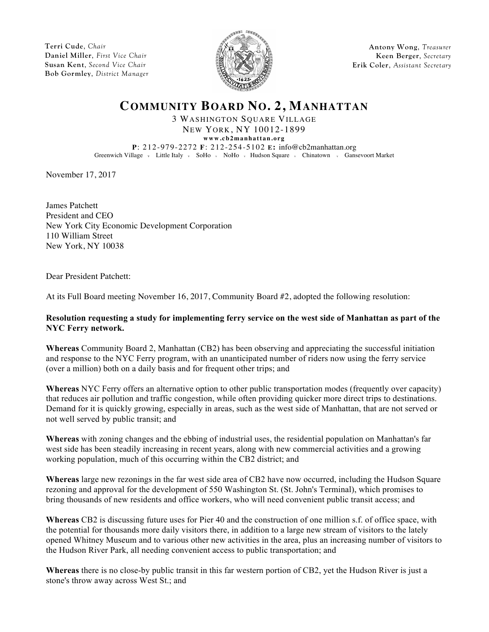**Terri Cude**, *Chair* **Daniel Miller**, *First Vice Chair* **Susan Kent**, *Second Vice Chair* **Bob Gormley**, *District Manager*



**Antony Wong**, *Treasurer* **Keen Berger**, *Secretary* **Erik Coler**, *Assistant Secretary*

# **COMMUNITY BOARD NO. 2, MANHATTAN**

3 WASHINGTON SQUARE VILLAGE NEW YORK, NY 10012-1899

**www.cb2manhattan.org**

**P**: 212-979-2272 **F**: 212-254-5102 **E:** info@cb2manhattan.org Greenwich Village v Little Italy v SoHo v NoHo v Hudson Square v Chinatown v Gansevoort Market

November 17, 2017

James Patchett President and CEO New York City Economic Development Corporation 110 William Street New York, NY 10038

Dear President Patchett:

At its Full Board meeting November 16, 2017, Community Board #2, adopted the following resolution:

### **Resolution requesting a study for implementing ferry service on the west side of Manhattan as part of the NYC Ferry network.**

**Whereas** Community Board 2, Manhattan (CB2) has been observing and appreciating the successful initiation and response to the NYC Ferry program, with an unanticipated number of riders now using the ferry service (over a million) both on a daily basis and for frequent other trips; and

**Whereas** NYC Ferry offers an alternative option to other public transportation modes (frequently over capacity) that reduces air pollution and traffic congestion, while often providing quicker more direct trips to destinations. Demand for it is quickly growing, especially in areas, such as the west side of Manhattan, that are not served or not well served by public transit; and

**Whereas** with zoning changes and the ebbing of industrial uses, the residential population on Manhattan's far west side has been steadily increasing in recent years, along with new commercial activities and a growing working population, much of this occurring within the CB2 district; and

**Whereas** large new rezonings in the far west side area of CB2 have now occurred, including the Hudson Square rezoning and approval for the development of 550 Washington St. (St. John's Terminal), which promises to bring thousands of new residents and office workers, who will need convenient public transit access; and

**Whereas** CB2 is discussing future uses for Pier 40 and the construction of one million s.f. of office space, with the potential for thousands more daily visitors there, in addition to a large new stream of visitors to the lately opened Whitney Museum and to various other new activities in the area, plus an increasing number of visitors to the Hudson River Park, all needing convenient access to public transportation; and

**Whereas** there is no close-by public transit in this far western portion of CB2, yet the Hudson River is just a stone's throw away across West St.; and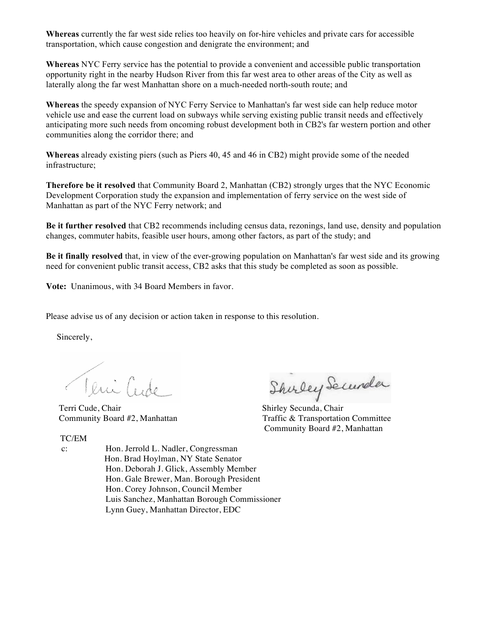**Whereas** currently the far west side relies too heavily on for-hire vehicles and private cars for accessible transportation, which cause congestion and denigrate the environment; and

**Whereas** NYC Ferry service has the potential to provide a convenient and accessible public transportation opportunity right in the nearby Hudson River from this far west area to other areas of the City as well as laterally along the far west Manhattan shore on a much-needed north-south route; and

**Whereas** the speedy expansion of NYC Ferry Service to Manhattan's far west side can help reduce motor vehicle use and ease the current load on subways while serving existing public transit needs and effectively anticipating more such needs from oncoming robust development both in CB2's far western portion and other communities along the corridor there; and

**Whereas** already existing piers (such as Piers 40, 45 and 46 in CB2) might provide some of the needed infrastructure;

**Therefore be it resolved** that Community Board 2, Manhattan (CB2) strongly urges that the NYC Economic Development Corporation study the expansion and implementation of ferry service on the west side of Manhattan as part of the NYC Ferry network; and

**Be it further resolved** that CB2 recommends including census data, rezonings, land use, density and population changes, commuter habits, feasible user hours, among other factors, as part of the study; and

**Be it finally resolved** that, in view of the ever-growing population on Manhattan's far west side and its growing need for convenient public transit access, CB2 asks that this study be completed as soon as possible.

**Vote:** Unanimous, with 34 Board Members in favor.

Please advise us of any decision or action taken in response to this resolution.

Sincerely,

Teni Cude

#### TC/EM

- 
- Olivi Cude Shirley Secundary<br>Terri Cude, Chair Shirley Secunda, Chair Shirley Secunda, Chair Shirley Secunda, Chair Community Board #2, Manhattan

Traffic & Transportation Committee Community Board #2, Manhattan

 c: Hon. Jerrold L. Nadler, Congressman Hon. Brad Hoylman, NY State Senator Hon. Deborah J. Glick, Assembly Member Hon. Gale Brewer, Man. Borough President Hon. Corey Johnson, Council Member Luis Sanchez, Manhattan Borough Commissioner Lynn Guey, Manhattan Director, EDC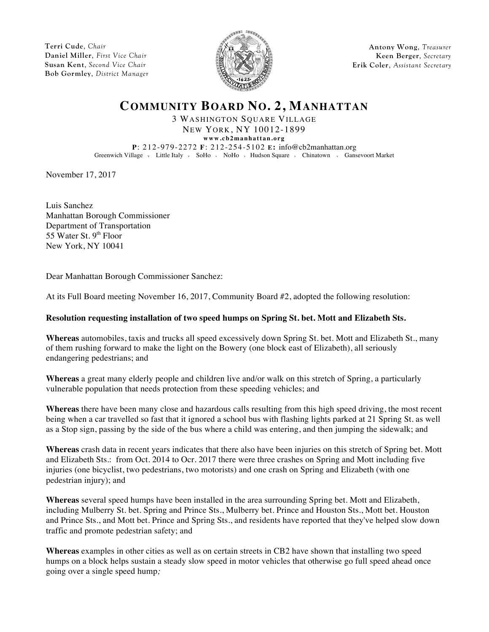**Terri Cude**, *Chair* **Daniel Miller**, *First Vice Chair* **Susan Kent**, *Second Vice Chair* **Bob Gormley**, *District Manager*



**Antony Wong**, *Treasurer* **Keen Berger**, *Secretary* **Erik Coler**, *Assistant Secretary*

# **COMMUNITY BOARD NO. 2, MANHATTAN**

3 WASHINGTON SQUARE VILLAGE NEW YORK, NY 10012-1899

**www.cb2manhattan.org**

**P**: 212-979-2272 **F**: 212-254-5102 **E:** info@cb2manhattan.org Greenwich Village v Little Italy v SoHo v NoHo v Hudson Square v Chinatown v Gansevoort Market

November 17, 2017

Luis Sanchez Manhattan Borough Commissioner Department of Transportation 55 Water St.  $9<sup>th</sup>$  Floor New York, NY 10041

Dear Manhattan Borough Commissioner Sanchez:

At its Full Board meeting November 16, 2017, Community Board #2, adopted the following resolution:

### **Resolution requesting installation of two speed humps on Spring St. bet. Mott and Elizabeth Sts.**

**Whereas** automobiles, taxis and trucks all speed excessively down Spring St. bet. Mott and Elizabeth St., many of them rushing forward to make the light on the Bowery (one block east of Elizabeth), all seriously endangering pedestrians; and

**Whereas** a great many elderly people and children live and/or walk on this stretch of Spring, a particularly vulnerable population that needs protection from these speeding vehicles; and

**Whereas** there have been many close and hazardous calls resulting from this high speed driving, the most recent being when a car travelled so fast that it ignored a school bus with flashing lights parked at 21 Spring St. as well as a Stop sign, passing by the side of the bus where a child was entering, and then jumping the sidewalk; and

**Whereas** crash data in recent years indicates that there also have been injuries on this stretch of Spring bet. Mott and Elizabeth Sts.: from Oct. 2014 to Ocr. 2017 there were three crashes on Spring and Mott including five injuries (one bicyclist, two pedestrians, two motorists) and one crash on Spring and Elizabeth (with one pedestrian injury); and

**Whereas** several speed humps have been installed in the area surrounding Spring bet. Mott and Elizabeth, including Mulberry St. bet. Spring and Prince Sts., Mulberry bet. Prince and Houston Sts., Mott bet. Houston and Prince Sts., and Mott bet. Prince and Spring Sts., and residents have reported that they've helped slow down traffic and promote pedestrian safety; and

**Whereas** examples in other cities as well as on certain streets in CB2 have shown that installing two speed humps on a block helps sustain a steady slow speed in motor vehicles that otherwise go full speed ahead once going over a single speed hump*;*